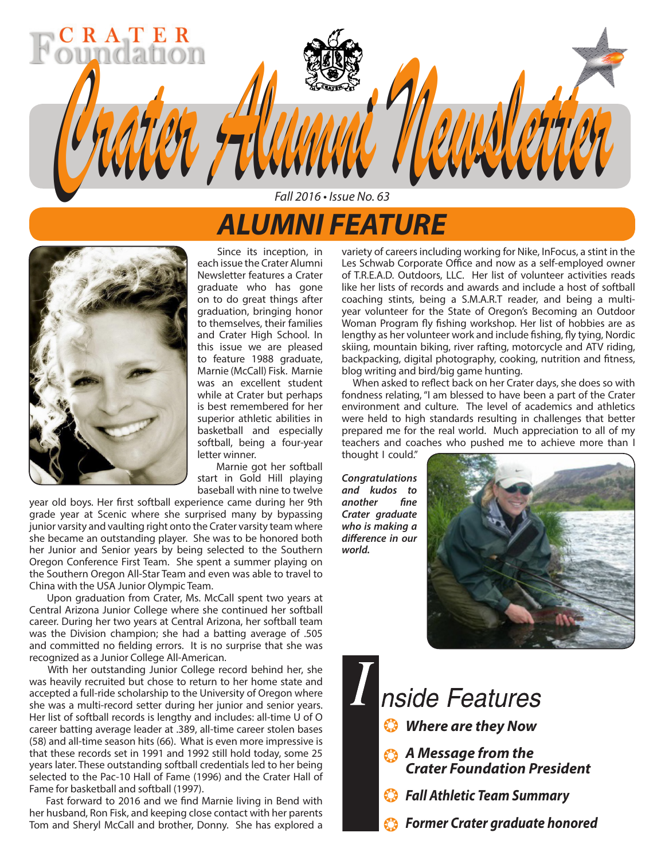# *ALUMNI FEATURE*

Fall 2016 • Issue No. 63

*Crater Alumni Newsletter Crater Alumni Newsletter*



RATE

Since its inception, in each issue the Crater Alumni Newsletter features a Crater graduate who has gone on to do great things after graduation, bringing honor to themselves, their families and Crater High School. In this issue we are pleased to feature 1988 graduate, Marnie (McCall) Fisk. Marnie was an excellent student while at Crater but perhaps is best remembered for her superior athletic abilities in basketball and especially softball, being a four-year letter winner.

 Marnie got her softball start in Gold Hill playing baseball with nine to twelve

year old boys. Her first softball experience came during her 9th grade year at Scenic where she surprised many by bypassing junior varsity and vaulting right onto the Crater varsity team where she became an outstanding player. She was to be honored both her Junior and Senior years by being selected to the Southern Oregon Conference First Team. She spent a summer playing on the Southern Oregon All-Star Team and even was able to travel to China with the USA Junior Olympic Team.

 Upon graduation from Crater, Ms. McCall spent two years at Central Arizona Junior College where she continued her softball career. During her two years at Central Arizona, her softball team was the Division champion; she had a batting average of .505 and committed no fielding errors. It is no surprise that she was recognized as a Junior College All-American.

 With her outstanding Junior College record behind her, she was heavily recruited but chose to return to her home state and accepted a full-ride scholarship to the University of Oregon where she was a multi-record setter during her junior and senior years. Her list of softball records is lengthy and includes: all-time U of O career batting average leader at .389, all-time career stolen bases (58) and all-time season hits (66). What is even more impressive is that these records set in 1991 and 1992 still hold today, some 25 years later. These outstanding softball credentials led to her being selected to the Pac-10 Hall of Fame (1996) and the Crater Hall of Fame for basketball and softball (1997).

 Fast forward to 2016 and we find Marnie living in Bend with her husband, Ron Fisk, and keeping close contact with her parents Tom and Sheryl McCall and brother, Donny. She has explored a

variety of careers including working for Nike, InFocus, a stint in the Les Schwab Corporate Office and now as a self-employed owner of T.R.E.A.D. Outdoors, LLC. Her list of volunteer activities reads like her lists of records and awards and include a host of softball coaching stints, being a S.M.A.R.T reader, and being a multiyear volunteer for the State of Oregon's Becoming an Outdoor Woman Program fly fishing workshop. Her list of hobbies are as lengthy as her volunteer work and include fishing, fly tying, Nordic skiing, mountain biking, river rafting, motorcycle and ATV riding, backpacking, digital photography, cooking, nutrition and fitness, blog writing and bird/big game hunting.

 When asked to reflect back on her Crater days, she does so with fondness relating, "I am blessed to have been a part of the Crater environment and culture. The level of academics and athletics were held to high standards resulting in challenges that better prepared me for the real world. Much appreciation to all of my teachers and coaches who pushed me to achieve more than I thought I could."

*Congratulations and kudos to another Crater graduate who is making a difference in our world.*



nside Features b *Where are they Now* b *A Message from the Crater Foundation President* b *Fall Athletic Team Summary*  $\bullet$ *Former Crater graduate honored*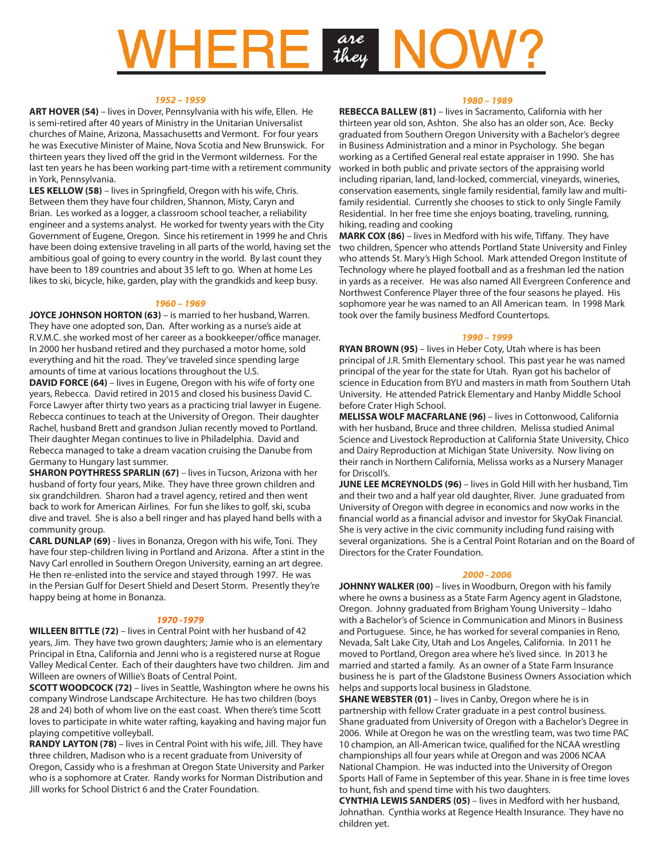# are<br>they HEREI

### *1952 – 1959*

**ART HOVER (54)** – lives in Dover, Pennsylvania with his wife, Ellen. He is semi-retired after 40 years of Ministry in the Unitarian Universalist churches of Maine, Arizona, Massachusetts and Vermont. For four years he was Executive Minister of Maine, Nova Scotia and New Brunswick. For thirteen years they lived off the grid in the Vermont wilderness. For the last ten years he has been working part-time with a retirement community in York, Pennsylvania.

LES KELLOW (58) - lives in Springfield, Oregon with his wife, Chris. Between them they have four children, Shannon, Misty, Caryn and Brian. Les worked as a logger, a classroom school teacher, a reliability engineer and a systems analyst. He worked for twenty years with the City Government of Eugene, Oregon. Since his retirement in 1999 he and Chris have been doing extensive traveling in all parts of the world, having set the ambitious goal of going to every country in the world. By last count they have been to 189 countries and about 35 left to go. When at home Les likes to ski, bicycle, hike, garden, play with the grandkids and keep busy.

### *1960 – 1969*

**JOYCE JOHNSON HORTON (63)** – is married to her husband, Warren. They have one adopted son, Dan. After working as a nurse's aide at R.V.M.C. she worked most of her career as a bookkeeper/office manager. In 2000 her husband retired and they purchased a motor home, sold everything and hit the road. They've traveled since spending large amounts of time at various locations throughout the U.S.

**DAVID FORCE (64)** – lives in Eugene, Oregon with his wife of forty one years, Rebecca. David retired in 2015 and closed his business David C. Force Lawyer after thirty two years as a practicing trial lawyer in Eugene. Rebecca continues to teach at the University of Oregon. Their daughter Rachel, husband Brett and grandson Julian recently moved to Portland. Their daughter Megan continues to live in Philadelphia. David and Rebecca managed to take a dream vacation cruising the Danube from Germany to Hungary last summer.

**SHARON POYTHRESS SPARLIN (67)** – lives in Tucson, Arizona with her husband of forty four years, Mike. They have three grown children and six grandchildren. Sharon had a travel agency, retired and then went back to work for American Airlines. For fun she likes to golf, ski, scuba dive and travel. She is also a bell ringer and has played hand bells with a community group.

**CARL DUNLAP (69)** - lives in Bonanza, Oregon with his wife, Toni. They have four step-children living in Portland and Arizona. After a stint in the Navy Carl enrolled in Southern Oregon University, earning an art degree. He then re-enlisted into the service and stayed through 1997. He was in the Persian Gulf for Desert Shield and Desert Storm. Presently they're happy being at home in Bonanza.

### *1970 -1979*

**WILLEEN BITTLE (72)** – lives in Central Point with her husband of 42 years, Jim. They have two grown daughters; Jamie who is an elementary Principal in Etna, California and Jenni who is a registered nurse at Rogue Valley Medical Center. Each of their daughters have two children. Jim and Willeen are owners of Willie's Boats of Central Point.

**SCOTT WOODCOCK (72)** – lives in Seattle, Washington where he owns his company Windrose Landscape Architecture. He has two children (boys 28 and 24) both of whom live on the east coast. When there's time Scott loves to participate in white water rafting, kayaking and having major fun playing competitive volleyball.

**RANDY LAYTON (78)** – lives in Central Point with his wife, Jill. They have three children, Madison who is a recent graduate from University of Oregon, Cassidy who is a freshman at Oregon State University and Parker who is a sophomore at Crater. Randy works for Norman Distribution and Jill works for School District 6 and the Crater Foundation.

#### *1980 – 1989*

**REBECCA BALLEW (81)** – lives in Sacramento, California with her thirteen year old son, Ashton. She also has an older son, Ace. Becky graduated from Southern Oregon University with a Bachelor's degree in Business Administration and a minor in Psychology. She began working as a Certified General real estate appraiser in 1990. She has worked in both public and private sectors of the appraising world including riparian, land, land-locked, commercial, vineyards, wineries, conservation easements, single family residential, family law and multifamily residential. Currently she chooses to stick to only Single Family Residential. In her free time she enjoys boating, traveling, running, hiking, reading and cooking

**MARK COX (86)** – lives in Medford with his wife, Tiffany. They have two children, Spencer who attends Portland State University and Finley who attends St. Mary's High School. Mark attended Oregon Institute of Technology where he played football and as a freshman led the nation in yards as a receiver. He was also named All Evergreen Conference and Northwest Conference Player three of the four seasons he played. His sophomore year he was named to an All American team. In 1998 Mark took over the family business Medford Countertops.

### *1990 – 1999*

**RYAN BROWN (95)** – lives in Heber Coty, Utah where is has been principal of J.R. Smith Elementary school. This past year he was named principal of the year for the state for Utah. Ryan got his bachelor of science in Education from BYU and masters in math from Southern Utah University. He attended Patrick Elementary and Hanby Middle School before Crater High School.

**MELISSA WOLF MACFARLANE (96)** – lives in Cottonwood, California with her husband, Bruce and three children. Melissa studied Animal Science and Livestock Reproduction at California State University, Chico and Dairy Reproduction at Michigan State University. Now living on their ranch in Northern California, Melissa works as a Nursery Manager for Driscoll's.

**JUNE LEE MCREYNOLDS (96)** – lives in Gold Hill with her husband, Tim and their two and a half year old daughter, River. June graduated from University of Oregon with degree in economics and now works in the financial world as a financial advisor and investor for SkyOak Financial. She is very active in the civic community including fund raising with several organizations. She is a Central Point Rotarian and on the Board of Directors for the Crater Foundation.

### *2000 - 2006*

**JOHNNY WALKER (00)** – lives in Woodburn, Oregon with his family where he owns a business as a State Farm Agency agent in Gladstone, Oregon. Johnny graduated from Brigham Young University – Idaho with a Bachelor's of Science in Communication and Minors in Business and Portuguese. Since, he has worked for several companies in Reno, Nevada, Salt Lake City, Utah and Los Angeles, California. In 2011 he moved to Portland, Oregon area where he's lived since. In 2013 he married and started a family. As an owner of a State Farm Insurance business he is part of the Gladstone Business Owners Association which helps and supports local business in Gladstone.

**SHANE WEBSTER (01)** – lives in Canby, Oregon where he is in partnership with fellow Crater graduate in a pest control business. Shane graduated from University of Oregon with a Bachelor's Degree in 2006. While at Oregon he was on the wrestling team, was two time PAC 10 champion, an All-American twice, qualified for the NCAA wrestling championships all four years while at Oregon and was 2006 NCAA National Champion. He was inducted into the University of Oregon Sports Hall of Fame in September of this year. Shane in is free time loves to hunt, fish and spend time with his two daughters.

**CYNTHIA LEWIS SANDERS (05)** – lives in Medford with her husband, Johnathan. Cynthia works at Regence Health Insurance. They have no children yet.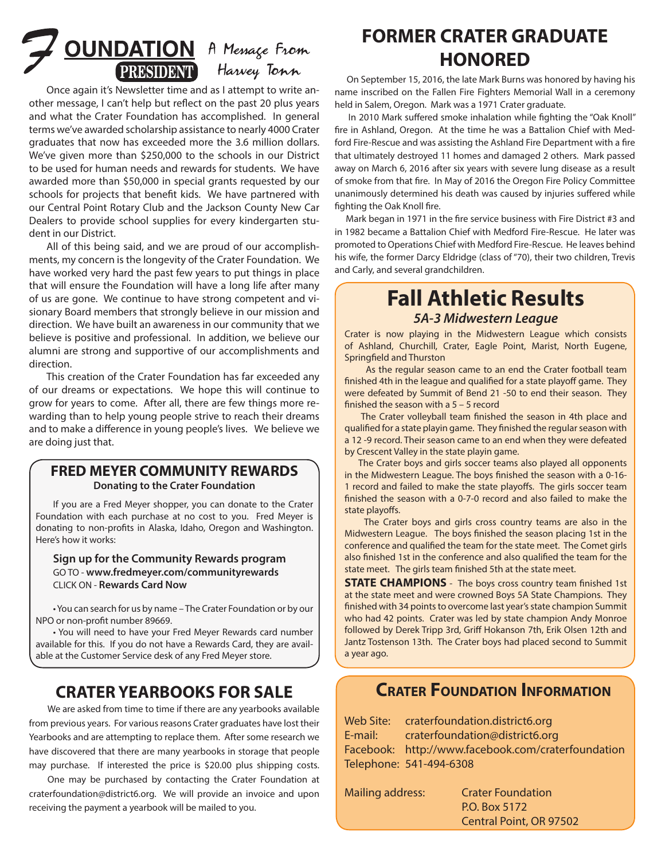

Once again it's Newsletter time and as I attempt to write another message, I can't help but reflect on the past 20 plus years and what the Crater Foundation has accomplished. In general terms we've awarded scholarship assistance to nearly 4000 Crater graduates that now has exceeded more the 3.6 million dollars. We've given more than \$250,000 to the schools in our District to be used for human needs and rewards for students. We have awarded more than \$50,000 in special grants requested by our schools for projects that benefit kids. We have partnered with our Central Point Rotary Club and the Jackson County New Car Dealers to provide school supplies for every kindergarten student in our District.

All of this being said, and we are proud of our accomplishments, my concern is the longevity of the Crater Foundation. We have worked very hard the past few years to put things in place that will ensure the Foundation will have a long life after many of us are gone. We continue to have strong competent and visionary Board members that strongly believe in our mission and direction. We have built an awareness in our community that we believe is positive and professional. In addition, we believe our alumni are strong and supportive of our accomplishments and direction.

This creation of the Crater Foundation has far exceeded any of our dreams or expectations. We hope this will continue to grow for years to come. After all, there are few things more rewarding than to help young people strive to reach their dreams and to make a difference in young people's lives. We believe we are doing just that.

## **FRED MEYER COMMUNITY REWARDS Donating to the Crater Foundation**

If you are a Fred Meyer shopper, you can donate to the Crater Foundation with each purchase at no cost to you. Fred Meyer is donating to non-profits in Alaska, Idaho, Oregon and Washington. Here's how it works:

**Sign up for the Community Rewards program** GO TO - **www.fredmeyer.com/communityrewards** CLICK ON - **Rewards Card Now**

 •You can search for us by name – The Crater Foundation or by our NPO or non-profit number 89669.

 • You will need to have your Fred Meyer Rewards card number available for this. If you do not have a Rewards Card, they are available at the Customer Service desk of any Fred Meyer store.

## **CRATER YEARBOOKS FOR SALE**

We are asked from time to time if there are any yearbooks available from previous years. For various reasons Crater graduates have lost their Yearbooks and are attempting to replace them. After some research we have discovered that there are many yearbooks in storage that people may purchase. If interested the price is \$20.00 plus shipping costs.

One may be purchased by contacting the Crater Foundation at craterfoundation@district6.org. We will provide an invoice and upon receiving the payment a yearbook will be mailed to you.

## **FORMER CRATER GRADUATE HONORED**

 On September 15, 2016, the late Mark Burns was honored by having his name inscribed on the Fallen Fire Fighters Memorial Wall in a ceremony held in Salem, Oregon. Mark was a 1971 Crater graduate.

 In 2010 Mark suffered smoke inhalation while fighting the "Oak Knoll" fire in Ashland, Oregon. At the time he was a Battalion Chief with Medford Fire-Rescue and was assisting the Ashland Fire Department with a fire that ultimately destroyed 11 homes and damaged 2 others. Mark passed away on March 6, 2016 after six years with severe lung disease as a result of smoke from that fire. In May of 2016 the Oregon Fire Policy Committee unanimously determined his death was caused by injuries suffered while fighting the Oak Knoll fire.

 Mark began in 1971 in the fire service business with Fire District #3 and in 1982 became a Battalion Chief with Medford Fire-Rescue. He later was promoted to Operations Chief with Medford Fire-Rescue. He leaves behind his wife, the former Darcy Eldridge (class of "70), their two children, Trevis and Carly, and several grandchildren.

## **Fall Athletic Results**  *5A-3 Midwestern League*

Crater is now playing in the Midwestern League which consists of Ashland, Churchill, Crater, Eagle Point, Marist, North Eugene, Springfield and Thurston

 As the regular season came to an end the Crater football team finished 4th in the league and qualified for a state playoff game. They were defeated by Summit of Bend 21 -50 to end their season. They finished the season with a 5 – 5 record

 The Crater volleyball team finished the season in 4th place and qualified for a state playin game. They finished the regular season with a 12 -9 record. Their season came to an end when they were defeated by Crescent Valley in the state playin game.

 The Crater boys and girls soccer teams also played all opponents in the Midwestern League. The boys finished the season with a 0-16- 1 record and failed to make the state playoffs. The girls soccer team finished the season with a 0-7-0 record and also failed to make the state playoffs.

 The Crater boys and girls cross country teams are also in the Midwestern League. The boys finished the season placing 1st in the conference and qualified the team for the state meet. The Comet girls also finished 1st in the conference and also qualified the team for the state meet. The girls team finished 5th at the state meet.

**STATE CHAMPIONS** - The boys cross country team finished 1st at the state meet and were crowned Boys 5A State Champions. They finished with 34 points to overcome last year's state champion Summit who had 42 points. Crater was led by state champion Andy Monroe followed by Derek Tripp 3rd, Griff Hokanson 7th, Erik Olsen 12th and Jantz Tostenson 13th. The Crater boys had placed second to Summit a year ago.

## **CRATER FOUNDATION INFORMATION**

Web Site: craterfoundation.district6.org E-mail: craterfoundation@district6.org Facebook: http://www.facebook.com/craterfoundation Telephone: 541-494-6308

Mailing address: Crater Foundation P.O. Box 5172 Central Point, OR 97502